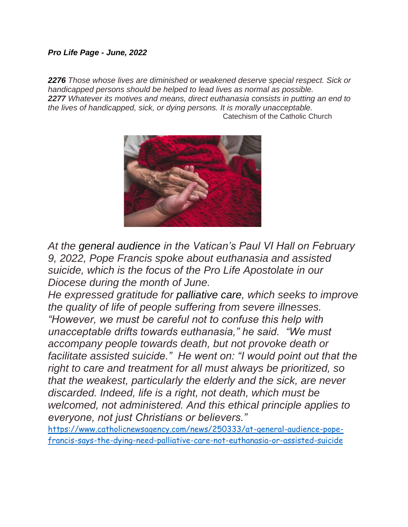## *Pro Life Page - June, 2022*

*2276 Those whose lives are diminished or weakened deserve special respect. Sick or handicapped persons should be helped to lead lives as normal as possible. 2277 Whatever its motives and means, direct euthanasia consists in putting an end to the lives of handicapped, sick, or dying persons. It is morally unacceptable.* Catechism of the Catholic Church



*At the [general audience](https://www.vatican.va/content/francesco/en/audiences/2022/documents/20220209-udienza-generale.html) in the Vatican's Paul VI Hall on February 9, 2022, Pope Francis spoke about euthanasia and assisted suicide, which is the focus of the Pro Life Apostolate in our Diocese during the month of June.*

*He expressed gratitude for [palliative care,](https://www.who.int/news-room/fact-sheets/detail/palliative-care) which seeks to improve the quality of life of people suffering from severe illnesses. "However, we must be careful not to confuse this help with unacceptable drifts towards euthanasia," he said. "We must accompany people towards death, but not provoke death or facilitate assisted suicide." He went on: "I would point out that the right to care and treatment for all must always be prioritized, so that the weakest, particularly the elderly and the sick, are never discarded. Indeed, life is a right, not death, which must be welcomed, not administered. And this ethical principle applies to everyone, not just Christians or believers."*

[https://www.catholicnewsagency.com/news/250333/at-general-audience-pope](https://www.catholicnewsagency.com/news/250333/at-general-audience-pope-francis-says-the-dying-need-palliative-care-not-euthanasia-or-assisted-suicide)[francis-says-the-dying-need-palliative-care-not-euthanasia-or-assisted-suicide](https://www.catholicnewsagency.com/news/250333/at-general-audience-pope-francis-says-the-dying-need-palliative-care-not-euthanasia-or-assisted-suicide)